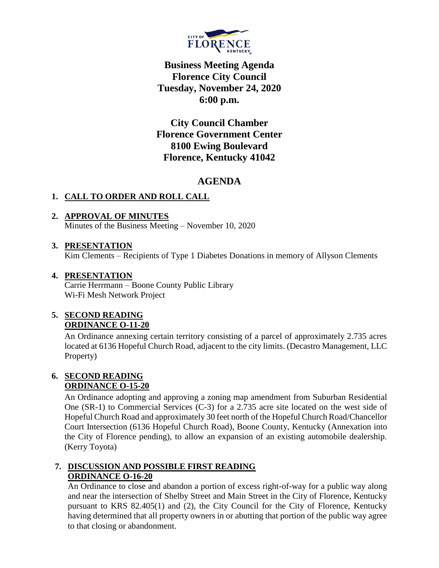

**Business Meeting Agenda Florence City Council Tuesday, November 24, 2020 6:00 p.m.**

**City Council Chamber Florence Government Center 8100 Ewing Boulevard Florence, Kentucky 41042**

# **AGENDA**

# **1. CALL TO ORDER AND ROLL CALL**

## **2. APPROVAL OF MINUTES**

Minutes of the Business Meeting – November 10, 2020

### **3. PRESENTATION**

Kim Clements – Recipients of Type 1 Diabetes Donations in memory of Allyson Clements

## **4. PRESENTATION**

Carrie Herrmann – Boone County Public Library Wi-Fi Mesh Network Project

## **5. SECOND READING ORDINANCE O-11-20**

An Ordinance annexing certain territory consisting of a parcel of approximately 2.735 acres located at 6136 Hopeful Church Road, adjacent to the city limits. (Decastro Management, LLC Property)

#### **6. SECOND READING ORDINANCE O-15-20**

An Ordinance adopting and approving a zoning map amendment from Suburban Residential One (SR-1) to Commercial Services (C-3) for a 2.735 acre site located on the west side of Hopeful Church Road and approximately 30 feet north of the Hopeful Church Road/Chancellor Court Intersection (6136 Hopeful Church Road), Boone County, Kentucky (Annexation into the City of Florence pending), to allow an expansion of an existing automobile dealership. (Kerry Toyota)

### **7. DISCUSSION AND POSSIBLE FIRST READING ORDINANCE O-16-20**

An Ordinance to close and abandon a portion of excess right-of-way for a public way along and near the intersection of Shelby Street and Main Street in the City of Florence, Kentucky pursuant to KRS 82.405(1) and (2), the City Council for the City of Florence, Kentucky having determined that all property owners in or abutting that portion of the public way agree to that closing or abandonment.